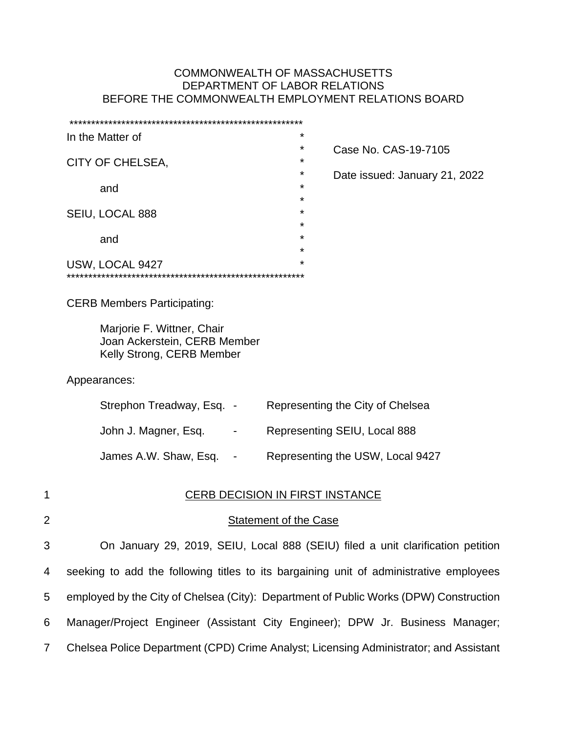# COMMONWEALTH OF MASSACHUSETTS DEPARTMENT OF LABOR RELATIONS BEFORE THE COMMONWEALTH EMPLOYMENT RELATIONS BOARD

|             | *<br>In the Matter of                                                                   |
|-------------|-----------------------------------------------------------------------------------------|
|             | *<br>Case No. CAS-19-7105<br>*<br>CITY OF CHELSEA,<br>*                                 |
|             | Date issued: January 21, 2022<br>*<br>and<br>*                                          |
|             | *<br>SEIU, LOCAL 888<br>*                                                               |
|             | *<br>and<br>*                                                                           |
|             | *<br>USW, LOCAL 9427                                                                    |
|             | <b>CERB Members Participating:</b>                                                      |
|             | Marjorie F. Wittner, Chair<br>Joan Ackerstein, CERB Member<br>Kelly Strong, CERB Member |
|             | Appearances:                                                                            |
|             | Strephon Treadway, Esq. -<br>Representing the City of Chelsea                           |
|             | John J. Magner, Esq.<br>Representing SEIU, Local 888<br>$\sim 100$                      |
|             | James A.W. Shaw, Esq.<br>Representing the USW, Local 9427<br>$\sim$                     |
| 1           | <b>CERB DECISION IN FIRST INSTANCE</b>                                                  |
| $\mathbf 2$ | <b>Statement of the Case</b>                                                            |
| 3           | On January 29, 2019, SEIU, Local 888 (SEIU) filed a unit clarification petition         |
| 4           | seeking to add the following titles to its bargaining unit of administrative employees  |
| 5           | employed by the City of Chelsea (City): Department of Public Works (DPW) Construction   |
| 6           | Manager/Project Engineer (Assistant City Engineer); DPW Jr. Business Manager;           |
| 7           | Chelsea Police Department (CPD) Crime Analyst; Licensing Administrator; and Assistant   |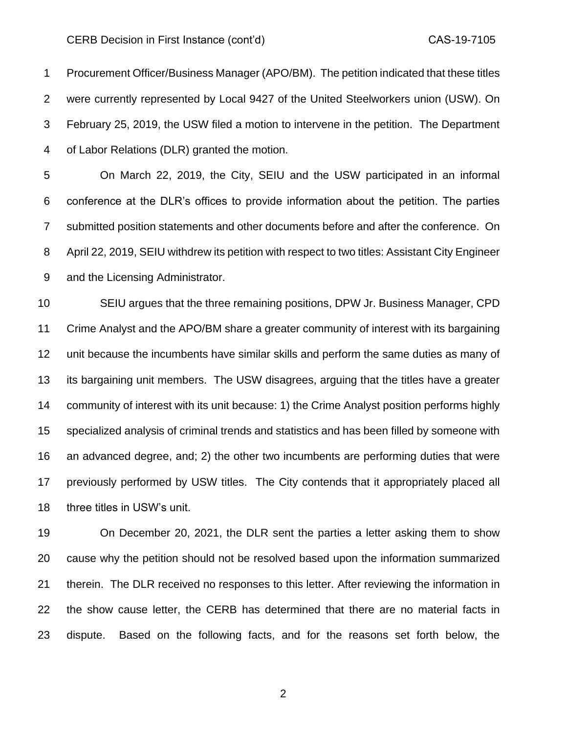Procurement Officer/Business Manager (APO/BM). The petition indicated that these titles were currently represented by Local 9427 of the United Steelworkers union (USW). On February 25, 2019, the USW filed a motion to intervene in the petition. The Department of Labor Relations (DLR) granted the motion.

 On March 22, 2019, the City, SEIU and the USW participated in an informal conference at the DLR's offices to provide information about the petition. The parties submitted position statements and other documents before and after the conference. On April 22, 2019, SEIU withdrew its petition with respect to two titles: Assistant City Engineer and the Licensing Administrator.

 SEIU argues that the three remaining positions, DPW Jr. Business Manager, CPD Crime Analyst and the APO/BM share a greater community of interest with its bargaining unit because the incumbents have similar skills and perform the same duties as many of its bargaining unit members. The USW disagrees, arguing that the titles have a greater community of interest with its unit because: 1) the Crime Analyst position performs highly specialized analysis of criminal trends and statistics and has been filled by someone with an advanced degree, and; 2) the other two incumbents are performing duties that were previously performed by USW titles. The City contends that it appropriately placed all three titles in USW's unit.

 On December 20, 2021, the DLR sent the parties a letter asking them to show cause why the petition should not be resolved based upon the information summarized therein. The DLR received no responses to this letter. After reviewing the information in the show cause letter, the CERB has determined that there are no material facts in dispute. Based on the following facts, and for the reasons set forth below, the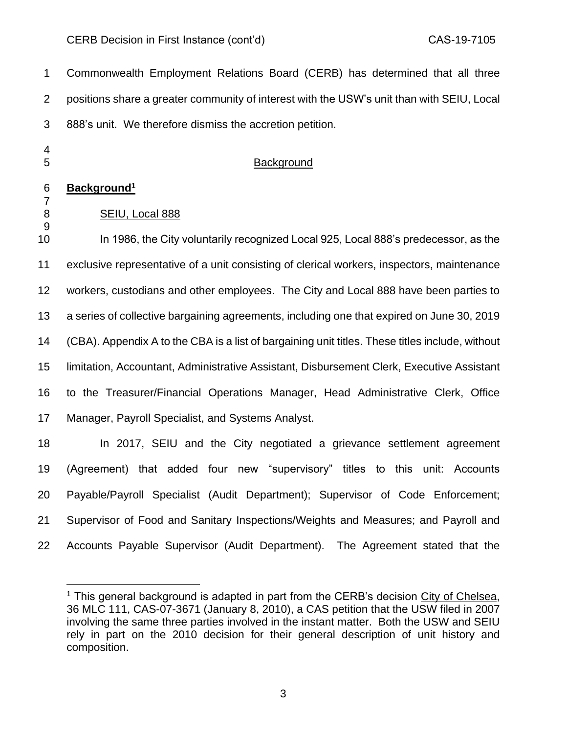Commonwealth Employment Relations Board (CERB) has determined that all three positions share a greater community of interest with the USW's unit than with SEIU, Local 888's unit. We therefore dismiss the accretion petition.

 5 Background

# **Background<sup>1</sup>**

# SEIU, Local 888

 In 1986, the City voluntarily recognized Local 925, Local 888's predecessor, as the exclusive representative of a unit consisting of clerical workers, inspectors, maintenance workers, custodians and other employees. The City and Local 888 have been parties to a series of collective bargaining agreements, including one that expired on June 30, 2019 (CBA). Appendix A to the CBA is a list of bargaining unit titles. These titles include, without limitation, Accountant, Administrative Assistant, Disbursement Clerk, Executive Assistant to the Treasurer/Financial Operations Manager, Head Administrative Clerk, Office Manager, Payroll Specialist, and Systems Analyst.

 In 2017, SEIU and the City negotiated a grievance settlement agreement (Agreement) that added four new "supervisory" titles to this unit: Accounts Payable/Payroll Specialist (Audit Department); Supervisor of Code Enforcement; Supervisor of Food and Sanitary Inspections/Weights and Measures; and Payroll and Accounts Payable Supervisor (Audit Department). The Agreement stated that the

<sup>&</sup>lt;sup>1</sup> This general background is adapted in part from the CERB's decision City of Chelsea, 36 MLC 111, CAS-07-3671 (January 8, 2010), a CAS petition that the USW filed in 2007 involving the same three parties involved in the instant matter. Both the USW and SEIU rely in part on the 2010 decision for their general description of unit history and composition.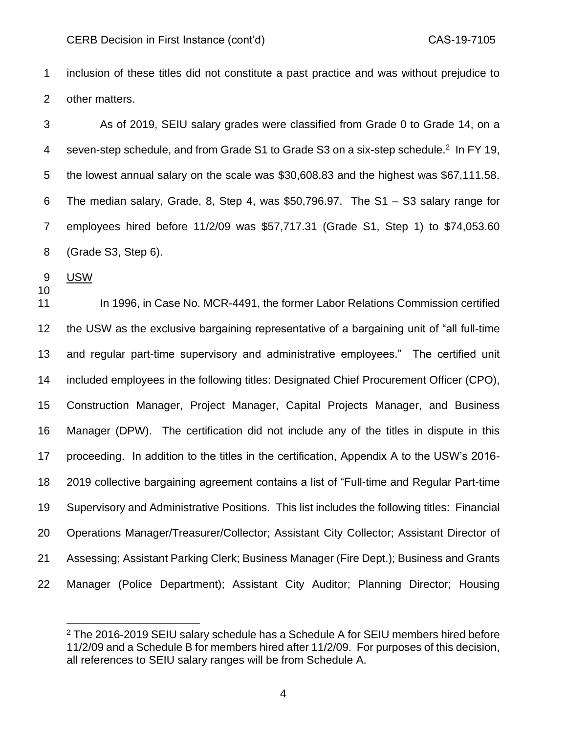inclusion of these titles did not constitute a past practice and was without prejudice to other matters.

 As of 2019, SEIU salary grades were classified from Grade 0 to Grade 14, on a 4 seven-step schedule, and from Grade S1 to Grade S3 on a six-step schedule.<sup>2</sup> In FY 19, the lowest annual salary on the scale was \$30,608.83 and the highest was \$67,111.58. The median salary, Grade, 8, Step 4, was \$50,796.97. The S1 – S3 salary range for employees hired before 11/2/09 was \$57,717.31 (Grade S1, Step 1) to \$74,053.60 (Grade S3, Step 6).

USW

11 In 1996, in Case No. MCR-4491, the former Labor Relations Commission certified the USW as the exclusive bargaining representative of a bargaining unit of "all full-time and regular part-time supervisory and administrative employees." The certified unit included employees in the following titles: Designated Chief Procurement Officer (CPO), Construction Manager, Project Manager, Capital Projects Manager, and Business Manager (DPW). The certification did not include any of the titles in dispute in this proceeding. In addition to the titles in the certification, Appendix A to the USW's 2016- 2019 collective bargaining agreement contains a list of "Full-time and Regular Part-time Supervisory and Administrative Positions. This list includes the following titles: Financial Operations Manager/Treasurer/Collector; Assistant City Collector; Assistant Director of Assessing; Assistant Parking Clerk; Business Manager (Fire Dept.); Business and Grants Manager (Police Department); Assistant City Auditor; Planning Director; Housing

<sup>&</sup>lt;sup>2</sup> The 2016-2019 SEIU salary schedule has a Schedule A for SEIU members hired before 11/2/09 and a Schedule B for members hired after 11/2/09. For purposes of this decision, all references to SEIU salary ranges will be from Schedule A.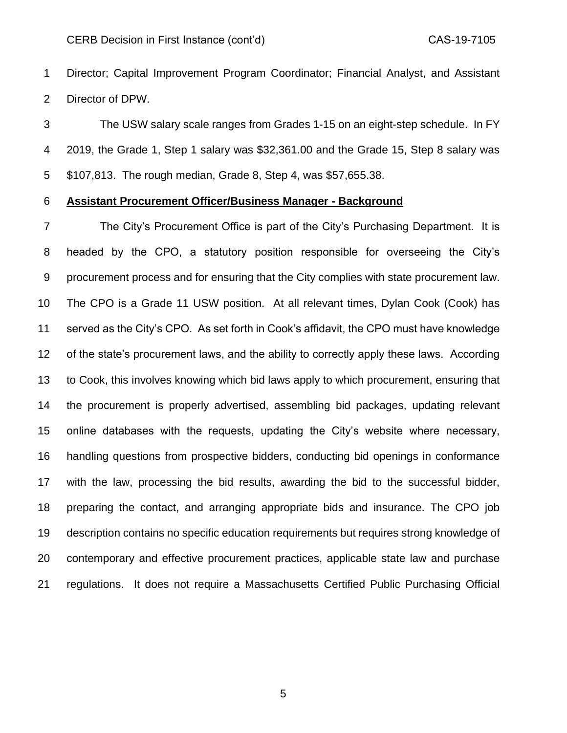Director; Capital Improvement Program Coordinator; Financial Analyst, and Assistant Director of DPW.

 The USW salary scale ranges from Grades 1-15 on an eight-step schedule. In FY 2019, the Grade 1, Step 1 salary was \$32,361.00 and the Grade 15, Step 8 salary was \$107,813. The rough median, Grade 8, Step 4, was \$57,655.38.

## **Assistant Procurement Officer/Business Manager - Background**

 The City's Procurement Office is part of the City's Purchasing Department. It is headed by the CPO, a statutory position responsible for overseeing the City's procurement process and for ensuring that the City complies with state procurement law. The CPO is a Grade 11 USW position. At all relevant times, Dylan Cook (Cook) has served as the City's CPO. As set forth in Cook's affidavit, the CPO must have knowledge of the state's procurement laws, and the ability to correctly apply these laws. According to Cook, this involves knowing which bid laws apply to which procurement, ensuring that the procurement is properly advertised, assembling bid packages, updating relevant online databases with the requests, updating the City's website where necessary, handling questions from prospective bidders, conducting bid openings in conformance with the law, processing the bid results, awarding the bid to the successful bidder, preparing the contact, and arranging appropriate bids and insurance. The CPO job description contains no specific education requirements but requires strong knowledge of contemporary and effective procurement practices, applicable state law and purchase regulations. It does not require a Massachusetts Certified Public Purchasing Official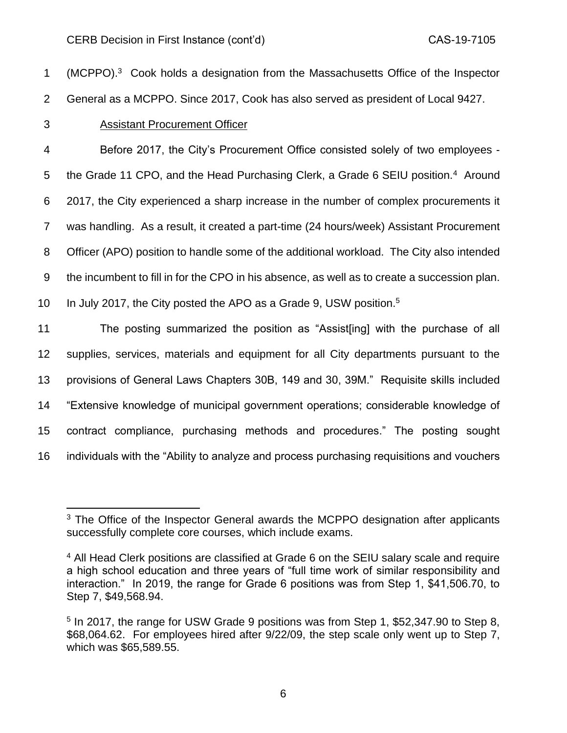1 (MCPPO).<sup>3</sup> Cook holds a designation from the Massachusetts Office of the Inspector General as a MCPPO. Since 2017, Cook has also served as president of Local 9427. Assistant Procurement Officer Before 2017, the City's Procurement Office consisted solely of two employees - 5 the Grade 11 CPO, and the Head Purchasing Clerk, a Grade 6 SEIU position.<sup>4</sup> Around 2017, the City experienced a sharp increase in the number of complex procurements it was handling. As a result, it created a part-time (24 hours/week) Assistant Procurement Officer (APO) position to handle some of the additional workload. The City also intended the incumbent to fill in for the CPO in his absence, as well as to create a succession plan. 10 In July 2017, the City posted the APO as a Grade 9, USW position.<sup>5</sup> The posting summarized the position as "Assist[ing] with the purchase of all supplies, services, materials and equipment for all City departments pursuant to the provisions of General Laws Chapters 30B, 149 and 30, 39M." Requisite skills included "Extensive knowledge of municipal government operations; considerable knowledge of contract compliance, purchasing methods and procedures." The posting sought individuals with the "Ability to analyze and process purchasing requisitions and vouchers

<sup>&</sup>lt;sup>3</sup> The Office of the Inspector General awards the MCPPO designation after applicants successfully complete core courses, which include exams.

<sup>4</sup> All Head Clerk positions are classified at Grade 6 on the SEIU salary scale and require a high school education and three years of "full time work of similar responsibility and interaction." In 2019, the range for Grade 6 positions was from Step 1, \$41,506.70, to Step 7, \$49,568.94.

<sup>&</sup>lt;sup>5</sup> In 2017, the range for USW Grade 9 positions was from Step 1, \$52,347.90 to Step 8, \$68,064.62. For employees hired after 9/22/09, the step scale only went up to Step 7, which was \$65,589.55.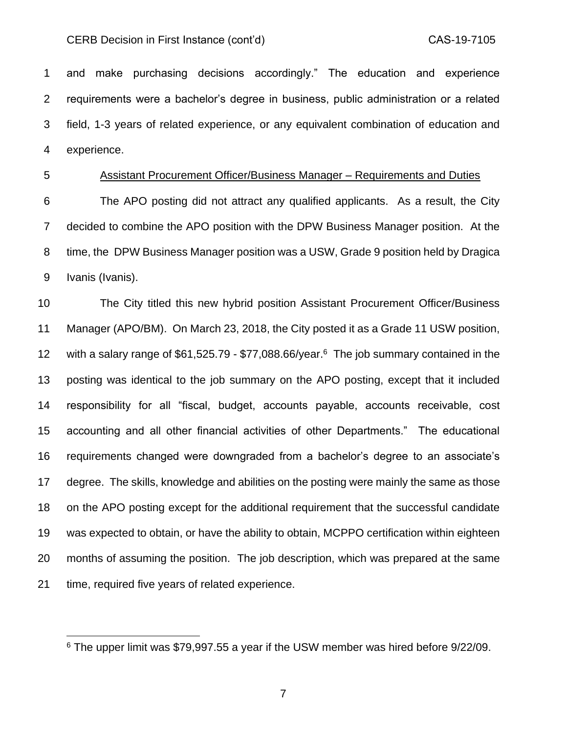and make purchasing decisions accordingly." The education and experience requirements were a bachelor's degree in business, public administration or a related field, 1-3 years of related experience, or any equivalent combination of education and experience.

## Assistant Procurement Officer/Business Manager – Requirements and Duties

 The APO posting did not attract any qualified applicants. As a result, the City decided to combine the APO position with the DPW Business Manager position. At the time, the DPW Business Manager position was a USW, Grade 9 position held by Dragica Ivanis (Ivanis).

 The City titled this new hybrid position Assistant Procurement Officer/Business Manager (APO/BM). On March 23, 2018, the City posted it as a Grade 11 USW position, 12 with a salary range of  $$61,525.79 - $77,088.66/year<sup>6</sup>$  The job summary contained in the posting was identical to the job summary on the APO posting, except that it included responsibility for all "fiscal, budget, accounts payable, accounts receivable, cost accounting and all other financial activities of other Departments." The educational requirements changed were downgraded from a bachelor's degree to an associate's degree. The skills, knowledge and abilities on the posting were mainly the same as those on the APO posting except for the additional requirement that the successful candidate was expected to obtain, or have the ability to obtain, MCPPO certification within eighteen months of assuming the position. The job description, which was prepared at the same time, required five years of related experience.

The upper limit was \$79,997,55 a year if the USW member was hired before  $9/22/09$ .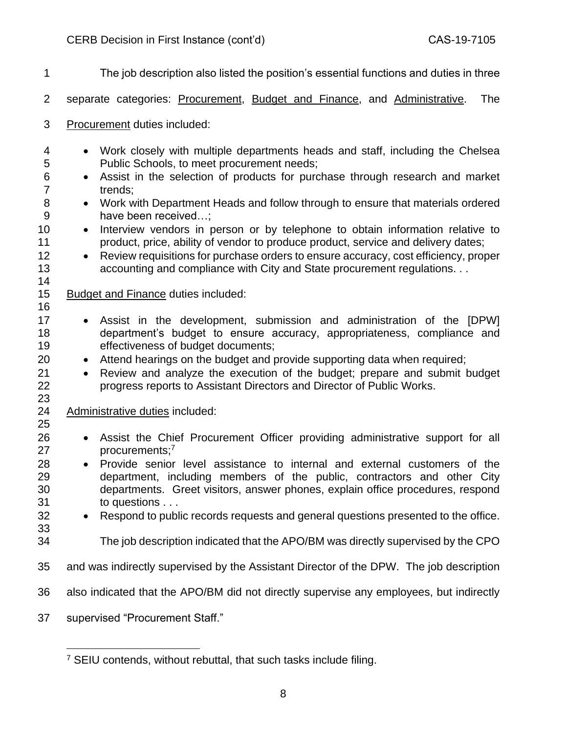| 1                                                               | The job description also listed the position's essential functions and duties in three                                                                                                                                                                                                                                                                                                                                                                                                                                                                                                                                                                                                                                                  |
|-----------------------------------------------------------------|-----------------------------------------------------------------------------------------------------------------------------------------------------------------------------------------------------------------------------------------------------------------------------------------------------------------------------------------------------------------------------------------------------------------------------------------------------------------------------------------------------------------------------------------------------------------------------------------------------------------------------------------------------------------------------------------------------------------------------------------|
| $\overline{2}$                                                  | separate categories: Procurement, Budget and Finance, and Administrative.<br><b>The</b>                                                                                                                                                                                                                                                                                                                                                                                                                                                                                                                                                                                                                                                 |
| 3                                                               | Procurement duties included:                                                                                                                                                                                                                                                                                                                                                                                                                                                                                                                                                                                                                                                                                                            |
| 4<br>5<br>6<br>$\overline{7}$<br>8<br>9<br>10<br>11<br>12<br>13 | Work closely with multiple departments heads and staff, including the Chelsea<br>$\bullet$<br>Public Schools, to meet procurement needs;<br>Assist in the selection of products for purchase through research and market<br>$\bullet$<br>trends;<br>Work with Department Heads and follow through to ensure that materials ordered<br>$\bullet$<br>have been received;<br>Interview vendors in person or by telephone to obtain information relative to<br>$\bullet$<br>product, price, ability of vendor to produce product, service and delivery dates;<br>Review requisitions for purchase orders to ensure accuracy, cost efficiency, proper<br>$\bullet$<br>accounting and compliance with City and State procurement regulations. |
| 14<br>15                                                        | <b>Budget and Finance duties included:</b>                                                                                                                                                                                                                                                                                                                                                                                                                                                                                                                                                                                                                                                                                              |
| 16<br>17<br>18<br>19<br>20<br>21<br>22<br>23<br>24              | Assist in the development, submission and administration of the [DPW]<br>$\bullet$<br>department's budget to ensure accuracy, appropriateness, compliance and<br>effectiveness of budget documents;<br>Attend hearings on the budget and provide supporting data when required;<br>$\bullet$<br>Review and analyze the execution of the budget; prepare and submit budget<br>$\bullet$<br>progress reports to Assistant Directors and Director of Public Works.<br>Administrative duties included:                                                                                                                                                                                                                                      |
| 25<br>26<br>27<br>28<br>29                                      | Assist the Chief Procurement Officer providing administrative support for all<br>$\bullet$<br>procurements; <sup>7</sup><br>Provide senior level assistance to internal and external customers of the<br>department, including members of the public, contractors and other City                                                                                                                                                                                                                                                                                                                                                                                                                                                        |
| 30<br>31<br>32<br>33                                            | departments. Greet visitors, answer phones, explain office procedures, respond<br>to questions<br>Respond to public records requests and general questions presented to the office.<br>$\bullet$                                                                                                                                                                                                                                                                                                                                                                                                                                                                                                                                        |
| 34                                                              | The job description indicated that the APO/BM was directly supervised by the CPO                                                                                                                                                                                                                                                                                                                                                                                                                                                                                                                                                                                                                                                        |
| 35                                                              | and was indirectly supervised by the Assistant Director of the DPW. The job description                                                                                                                                                                                                                                                                                                                                                                                                                                                                                                                                                                                                                                                 |
| 36                                                              | also indicated that the APO/BM did not directly supervise any employees, but indirectly                                                                                                                                                                                                                                                                                                                                                                                                                                                                                                                                                                                                                                                 |
| 37                                                              | supervised "Procurement Staff."                                                                                                                                                                                                                                                                                                                                                                                                                                                                                                                                                                                                                                                                                                         |

 $\overline{\phantom{a}}$ 

SEIU contends, without rebuttal, that such tasks include filing.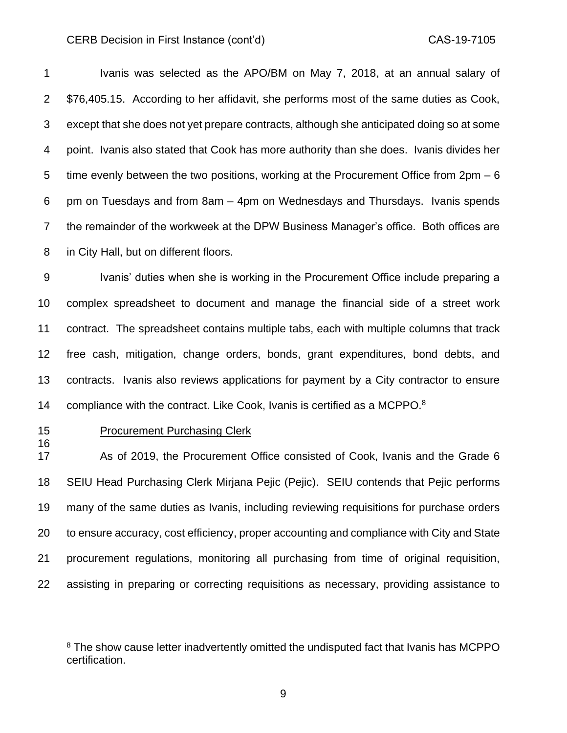Ivanis was selected as the APO/BM on May 7, 2018, at an annual salary of \$76,405.15. According to her affidavit, she performs most of the same duties as Cook, except that she does not yet prepare contracts, although she anticipated doing so at some point. Ivanis also stated that Cook has more authority than she does. Ivanis divides her 5 time evenly between the two positions, working at the Procurement Office from 2pm – 6 pm on Tuesdays and from 8am – 4pm on Wednesdays and Thursdays. Ivanis spends the remainder of the workweek at the DPW Business Manager's office. Both offices are in City Hall, but on different floors.

9 Ivanis' duties when she is working in the Procurement Office include preparing a complex spreadsheet to document and manage the financial side of a street work contract. The spreadsheet contains multiple tabs, each with multiple columns that track free cash, mitigation, change orders, bonds, grant expenditures, bond debts, and contracts. Ivanis also reviews applications for payment by a City contractor to ensure 14 compliance with the contract. Like Cook, Ivanis is certified as a MCPPO.<sup>8</sup>

## **Procurement Purchasing Clerk**

 As of 2019, the Procurement Office consisted of Cook, Ivanis and the Grade 6 SEIU Head Purchasing Clerk Mirjana Pejic (Pejic). SEIU contends that Pejic performs many of the same duties as Ivanis, including reviewing requisitions for purchase orders to ensure accuracy, cost efficiency, proper accounting and compliance with City and State procurement regulations, monitoring all purchasing from time of original requisition, assisting in preparing or correcting requisitions as necessary, providing assistance to

<sup>&</sup>lt;sup>8</sup> The show cause letter inadvertently omitted the undisputed fact that Ivanis has MCPPO certification.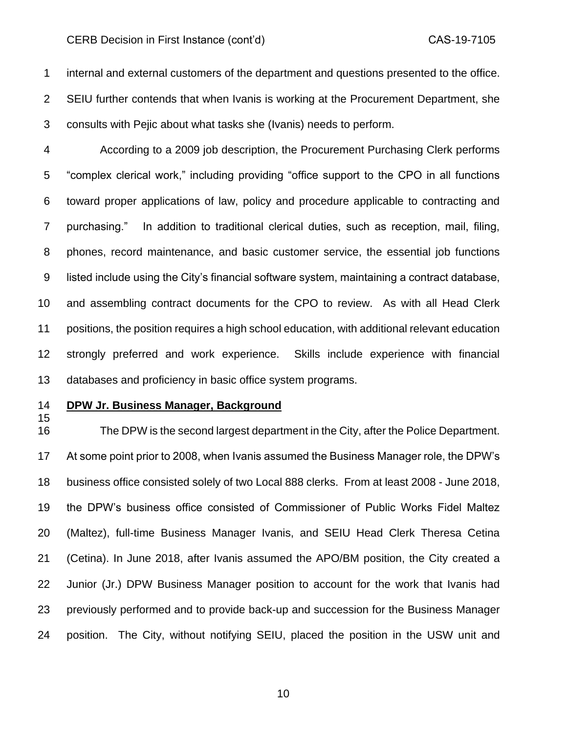internal and external customers of the department and questions presented to the office. SEIU further contends that when Ivanis is working at the Procurement Department, she consults with Pejic about what tasks she (Ivanis) needs to perform.

 According to a 2009 job description, the Procurement Purchasing Clerk performs "complex clerical work," including providing "office support to the CPO in all functions toward proper applications of law, policy and procedure applicable to contracting and purchasing." In addition to traditional clerical duties, such as reception, mail, filing, phones, record maintenance, and basic customer service, the essential job functions listed include using the City's financial software system, maintaining a contract database, and assembling contract documents for the CPO to review. As with all Head Clerk positions, the position requires a high school education, with additional relevant education strongly preferred and work experience. Skills include experience with financial databases and proficiency in basic office system programs.

## **DPW Jr. Business Manager, Background**

 The DPW is the second largest department in the City, after the Police Department. At some point prior to 2008, when Ivanis assumed the Business Manager role, the DPW's business office consisted solely of two Local 888 clerks. From at least 2008 - June 2018, the DPW's business office consisted of Commissioner of Public Works Fidel Maltez (Maltez), full-time Business Manager Ivanis, and SEIU Head Clerk Theresa Cetina (Cetina). In June 2018, after Ivanis assumed the APO/BM position, the City created a Junior (Jr.) DPW Business Manager position to account for the work that Ivanis had previously performed and to provide back-up and succession for the Business Manager position. The City, without notifying SEIU, placed the position in the USW unit and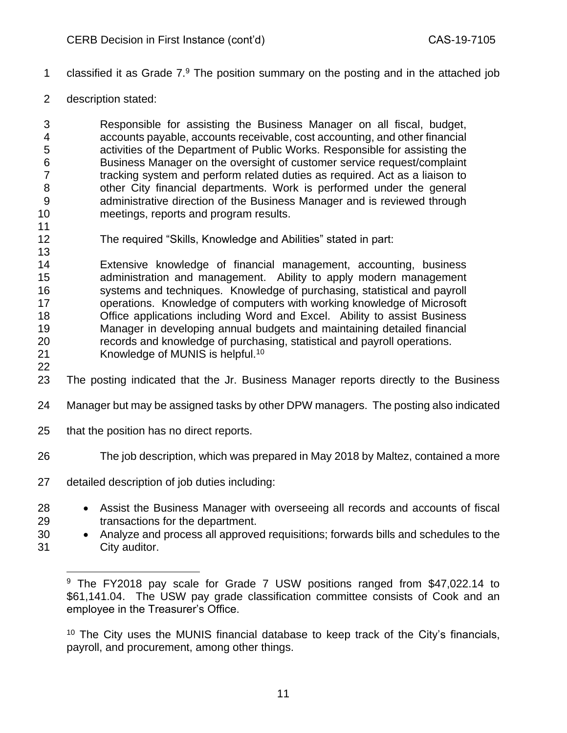- 1 classified it as Grade  $7.9$  The position summary on the posting and in the attached job
- description stated:

 Responsible for assisting the Business Manager on all fiscal, budget, accounts payable, accounts receivable, cost accounting, and other financial activities of the Department of Public Works. Responsible for assisting the Business Manager on the oversight of customer service request/complaint tracking system and perform related duties as required. Act as a liaison to other City financial departments. Work is performed under the general administrative direction of the Business Manager and is reviewed through meetings, reports and program results.

The required "Skills, Knowledge and Abilities" stated in part:

 Extensive knowledge of financial management, accounting, business administration and management. Ability to apply modern management systems and techniques. Knowledge of purchasing, statistical and payroll operations. Knowledge of computers with working knowledge of Microsoft Office applications including Word and Excel. Ability to assist Business Manager in developing annual budgets and maintaining detailed financial records and knowledge of purchasing, statistical and payroll operations. 21 Knowledge of MUNIS is helpful.<sup>10</sup> 

- The posting indicated that the Jr. Business Manager reports directly to the Business
- Manager but may be assigned tasks by other DPW managers. The posting also indicated
- that the position has no direct reports.
- The job description, which was prepared in May 2018 by Maltez, contained a more
- detailed description of job duties including:
- Assist the Business Manager with overseeing all records and accounts of fiscal transactions for the department.
- Analyze and process all approved requisitions; forwards bills and schedules to the City auditor.

 The City uses the MUNIS financial database to keep track of the City's financials, payroll, and procurement, among other things.

<sup>&</sup>lt;sup>9</sup> The FY2018 pav scale for Grade 7 USW positions ranged from \$47,022.14 to \$61,141.04. The USW pay grade classification committee consists of Cook and an employee in the Treasurer's Office.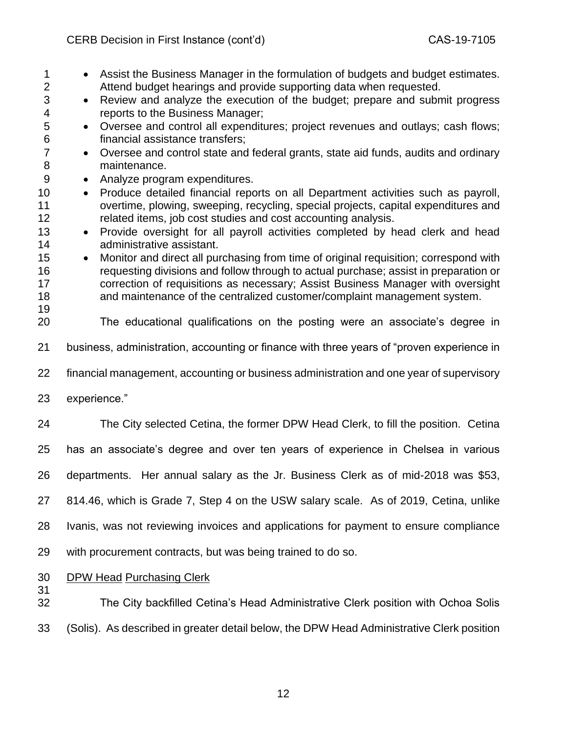| $\mathbf 1$<br>$\overline{2}$ | Assist the Business Manager in the formulation of budgets and budget estimates.<br>Attend budget hearings and provide supporting data when requested. |
|-------------------------------|-------------------------------------------------------------------------------------------------------------------------------------------------------|
| 3                             | Review and analyze the execution of the budget; prepare and submit progress<br>$\bullet$                                                              |
| 4                             | reports to the Business Manager;                                                                                                                      |
| 5<br>$\,6$                    | Oversee and control all expenditures; project revenues and outlays; cash flows;<br>$\bullet$<br>financial assistance transfers;                       |
| $\overline{7}$                | Oversee and control state and federal grants, state aid funds, audits and ordinary<br>$\bullet$                                                       |
| 8                             | maintenance.                                                                                                                                          |
| $9\,$                         | Analyze program expenditures.<br>$\bullet$                                                                                                            |
| 10                            | Produce detailed financial reports on all Department activities such as payroll,<br>$\bullet$                                                         |
| 11                            | overtime, plowing, sweeping, recycling, special projects, capital expenditures and                                                                    |
| 12                            | related items, job cost studies and cost accounting analysis.                                                                                         |
| 13<br>14                      | Provide oversight for all payroll activities completed by head clerk and head<br>$\bullet$<br>administrative assistant.                               |
| 15                            | Monitor and direct all purchasing from time of original requisition; correspond with                                                                  |
| 16                            | requesting divisions and follow through to actual purchase; assist in preparation or                                                                  |
| 17                            | correction of requisitions as necessary; Assist Business Manager with oversight                                                                       |
| 18                            | and maintenance of the centralized customer/complaint management system.                                                                              |
| 19                            |                                                                                                                                                       |
| 20                            | The educational qualifications on the posting were an associate's degree in                                                                           |
| 21                            | business, administration, accounting or finance with three years of "proven experience in                                                             |
| 22                            | financial management, accounting or business administration and one year of supervisory                                                               |
| 23                            | experience."                                                                                                                                          |
| 24                            | The City selected Cetina, the former DPW Head Clerk, to fill the position. Cetina                                                                     |
| 25                            | has an associate's degree and over ten years of experience in Chelsea in various                                                                      |
| 26                            | departments. Her annual salary as the Jr. Business Clerk as of mid-2018 was \$53,                                                                     |
| 27                            | 814.46, which is Grade 7, Step 4 on the USW salary scale. As of 2019, Cetina, unlike                                                                  |
| 28                            | Ivanis, was not reviewing invoices and applications for payment to ensure compliance                                                                  |
| 29                            | with procurement contracts, but was being trained to do so.                                                                                           |
| 30<br>31                      | <b>DPW Head Purchasing Clerk</b>                                                                                                                      |
| 32                            | The City backfilled Cetina's Head Administrative Clerk position with Ochoa Solis                                                                      |

(Solis). As described in greater detail below, the DPW Head Administrative Clerk position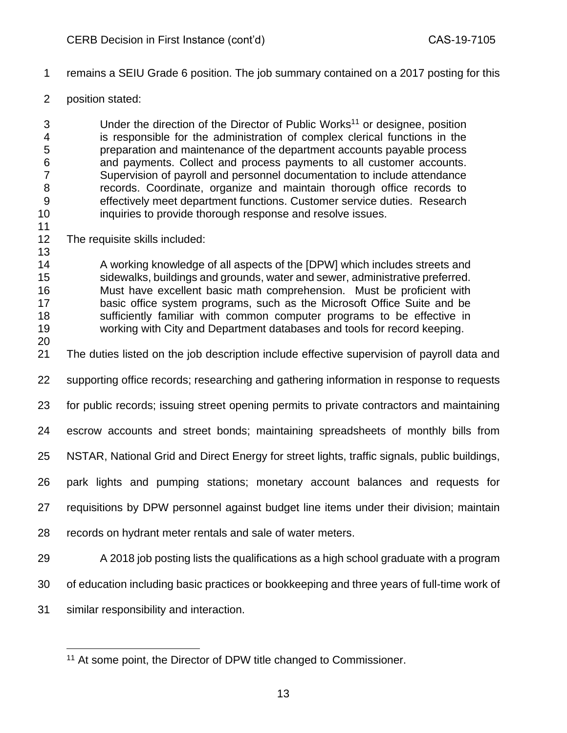- remains a SEIU Grade 6 position. The job summary contained on a 2017 posting for this
- position stated:

3 Under the direction of the Director of Public Works<sup>11</sup> or designee, position is responsible for the administration of complex clerical functions in the preparation and maintenance of the department accounts payable process and payments. Collect and process payments to all customer accounts. Supervision of payroll and personnel documentation to include attendance records. Coordinate, organize and maintain thorough office records to effectively meet department functions. Customer service duties. Research inquiries to provide thorough response and resolve issues.

The requisite skills included:

 A working knowledge of all aspects of the [DPW] which includes streets and sidewalks, buildings and grounds, water and sewer, administrative preferred. Must have excellent basic math comprehension. Must be proficient with basic office system programs, such as the Microsoft Office Suite and be sufficiently familiar with common computer programs to be effective in working with City and Department databases and tools for record keeping.

The duties listed on the job description include effective supervision of payroll data and

supporting office records; researching and gathering information in response to requests

- for public records; issuing street opening permits to private contractors and maintaining
- escrow accounts and street bonds; maintaining spreadsheets of monthly bills from

NSTAR, National Grid and Direct Energy for street lights, traffic signals, public buildings,

- park lights and pumping stations; monetary account balances and requests for
- requisitions by DPW personnel against budget line items under their division; maintain
- records on hydrant meter rentals and sale of water meters.
- A 2018 job posting lists the qualifications as a high school graduate with a program
- of education including basic practices or bookkeeping and three years of full-time work of
- similar responsibility and interaction.

<sup>&</sup>lt;sup>11</sup> At some point, the Director of DPW title changed to Commissioner.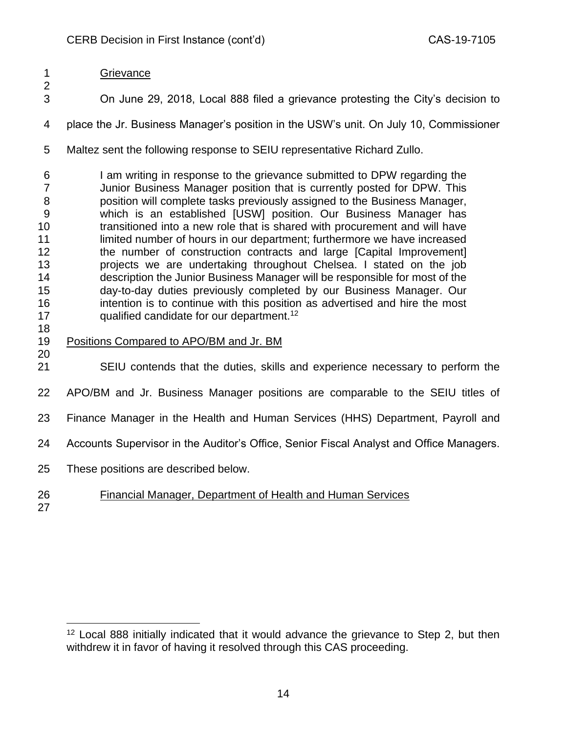# Grievance

- On June 29, 2018, Local 888 filed a grievance protesting the City's decision to
- place the Jr. Business Manager's position in the USW's unit. On July 10, Commissioner
- Maltez sent the following response to SEIU representative Richard Zullo.
- I am writing in response to the grievance submitted to DPW regarding the Junior Business Manager position that is currently posted for DPW. This position will complete tasks previously assigned to the Business Manager, which is an established [USW] position. Our Business Manager has transitioned into a new role that is shared with procurement and will have 11 limited number of hours in our department; furthermore we have increased 12 the number of construction contracts and large [Capital Improvement] projects we are undertaking throughout Chelsea. I stated on the job description the Junior Business Manager will be responsible for most of the day-to-day duties previously completed by our Business Manager. Our intention is to continue with this position as advertised and hire the most 17 qualified candidate for our department.<sup>12</sup>
- 

- Positions Compared to APO/BM and Jr. BM
- SEIU contends that the duties, skills and experience necessary to perform the
- APO/BM and Jr. Business Manager positions are comparable to the SEIU titles of
- Finance Manager in the Health and Human Services (HHS) Department, Payroll and
- Accounts Supervisor in the Auditor's Office, Senior Fiscal Analyst and Office Managers.
- These positions are described below.
- Financial Manager, Department of Health and Human Services
- 

<sup>&</sup>lt;sup>12</sup> Local 888 initially indicated that it would advance the grievance to Step 2, but then withdrew it in favor of having it resolved through this CAS proceeding.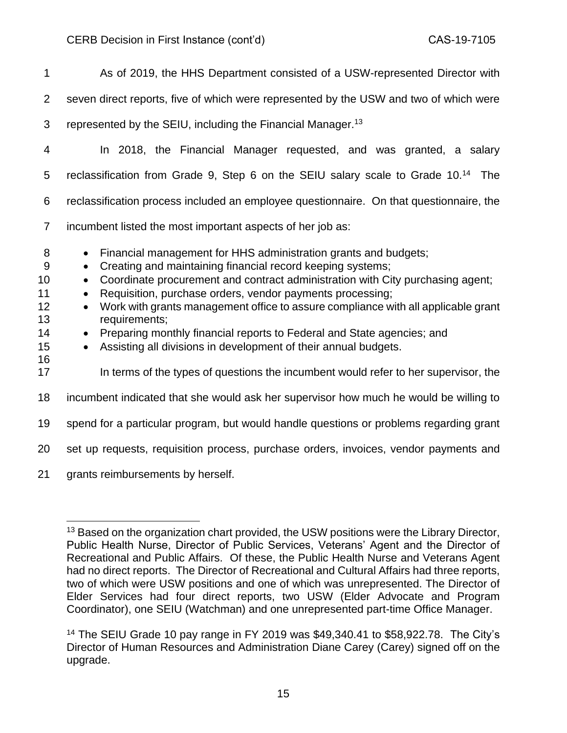| $\mathbf 1$                                            | As of 2019, the HHS Department consisted of a USW-represented Director with                                                                                                                                                                                                                                                                                                                                                                                                                                                                                                                                                                                                                                       |
|--------------------------------------------------------|-------------------------------------------------------------------------------------------------------------------------------------------------------------------------------------------------------------------------------------------------------------------------------------------------------------------------------------------------------------------------------------------------------------------------------------------------------------------------------------------------------------------------------------------------------------------------------------------------------------------------------------------------------------------------------------------------------------------|
| $\overline{2}$                                         | seven direct reports, five of which were represented by the USW and two of which were                                                                                                                                                                                                                                                                                                                                                                                                                                                                                                                                                                                                                             |
| 3                                                      | represented by the SEIU, including the Financial Manager. <sup>13</sup>                                                                                                                                                                                                                                                                                                                                                                                                                                                                                                                                                                                                                                           |
| 4                                                      | In 2018, the Financial Manager requested, and was granted, a salary                                                                                                                                                                                                                                                                                                                                                                                                                                                                                                                                                                                                                                               |
| 5                                                      | reclassification from Grade 9, Step 6 on the SEIU salary scale to Grade 10. <sup>14</sup> The                                                                                                                                                                                                                                                                                                                                                                                                                                                                                                                                                                                                                     |
| 6                                                      | reclassification process included an employee questionnaire. On that questionnaire, the                                                                                                                                                                                                                                                                                                                                                                                                                                                                                                                                                                                                                           |
| $\overline{7}$                                         | incumbent listed the most important aspects of her job as:                                                                                                                                                                                                                                                                                                                                                                                                                                                                                                                                                                                                                                                        |
| 8<br>9<br>10<br>11<br>12<br>13<br>14<br>15<br>16<br>17 | Financial management for HHS administration grants and budgets;<br>$\bullet$<br>Creating and maintaining financial record keeping systems;<br>$\bullet$<br>Coordinate procurement and contract administration with City purchasing agent;<br>$\bullet$<br>Requisition, purchase orders, vendor payments processing;<br>$\bullet$<br>Work with grants management office to assure compliance with all applicable grant<br>$\bullet$<br>requirements;<br>Preparing monthly financial reports to Federal and State agencies; and<br>$\bullet$<br>Assisting all divisions in development of their annual budgets.<br>$\bullet$<br>In terms of the types of questions the incumbent would refer to her supervisor, the |
| 18                                                     | incumbent indicated that she would ask her supervisor how much he would be willing to                                                                                                                                                                                                                                                                                                                                                                                                                                                                                                                                                                                                                             |
| 19                                                     | spend for a particular program, but would handle questions or problems regarding grant                                                                                                                                                                                                                                                                                                                                                                                                                                                                                                                                                                                                                            |
| 20                                                     | set up requests, requisition process, purchase orders, invoices, vendor payments and                                                                                                                                                                                                                                                                                                                                                                                                                                                                                                                                                                                                                              |
| 21                                                     | grants reimbursements by herself.                                                                                                                                                                                                                                                                                                                                                                                                                                                                                                                                                                                                                                                                                 |

<sup>&</sup>lt;sup>13</sup> Based on the organization chart provided, the USW positions were the Library Director, Public Health Nurse, Director of Public Services, Veterans' Agent and the Director of Recreational and Public Affairs. Of these, the Public Health Nurse and Veterans Agent had no direct reports. The Director of Recreational and Cultural Affairs had three reports, two of which were USW positions and one of which was unrepresented. The Director of Elder Services had four direct reports, two USW (Elder Advocate and Program Coordinator), one SEIU (Watchman) and one unrepresented part-time Office Manager.

<sup>14</sup> The SEIU Grade 10 pay range in FY 2019 was \$49,340.41 to \$58,922.78. The City's Director of Human Resources and Administration Diane Carey (Carey) signed off on the upgrade.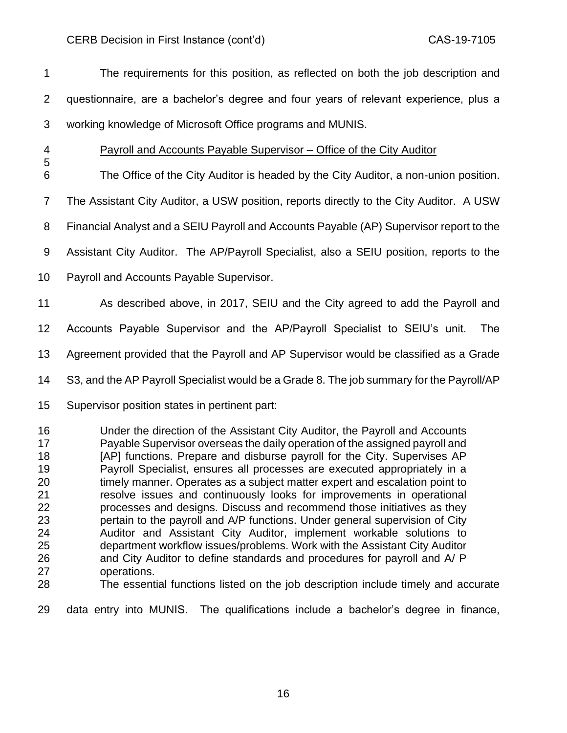The requirements for this position, as reflected on both the job description and questionnaire, are a bachelor's degree and four years of relevant experience, plus a working knowledge of Microsoft Office programs and MUNIS.

# Payroll and Accounts Payable Supervisor – Office of the City Auditor

The Office of the City Auditor is headed by the City Auditor, a non-union position.

The Assistant City Auditor, a USW position, reports directly to the City Auditor. A USW

Financial Analyst and a SEIU Payroll and Accounts Payable (AP) Supervisor report to the

Assistant City Auditor. The AP/Payroll Specialist, also a SEIU position, reports to the

Payroll and Accounts Payable Supervisor.

As described above, in 2017, SEIU and the City agreed to add the Payroll and

Accounts Payable Supervisor and the AP/Payroll Specialist to SEIU's unit. The

Agreement provided that the Payroll and AP Supervisor would be classified as a Grade

S3, and the AP Payroll Specialist would be a Grade 8. The job summary for the Payroll/AP

Supervisor position states in pertinent part:

 Under the direction of the Assistant City Auditor, the Payroll and Accounts Payable Supervisor overseas the daily operation of the assigned payroll and **[AP]** functions. Prepare and disburse payroll for the City. Supervises AP Payroll Specialist, ensures all processes are executed appropriately in a timely manner. Operates as a subject matter expert and escalation point to resolve issues and continuously looks for improvements in operational processes and designs. Discuss and recommend those initiatives as they pertain to the payroll and A/P functions. Under general supervision of City Auditor and Assistant City Auditor, implement workable solutions to department workflow issues/problems. Work with the Assistant City Auditor and City Auditor to define standards and procedures for payroll and A/ P operations.

The essential functions listed on the job description include timely and accurate

data entry into MUNIS. The qualifications include a bachelor's degree in finance,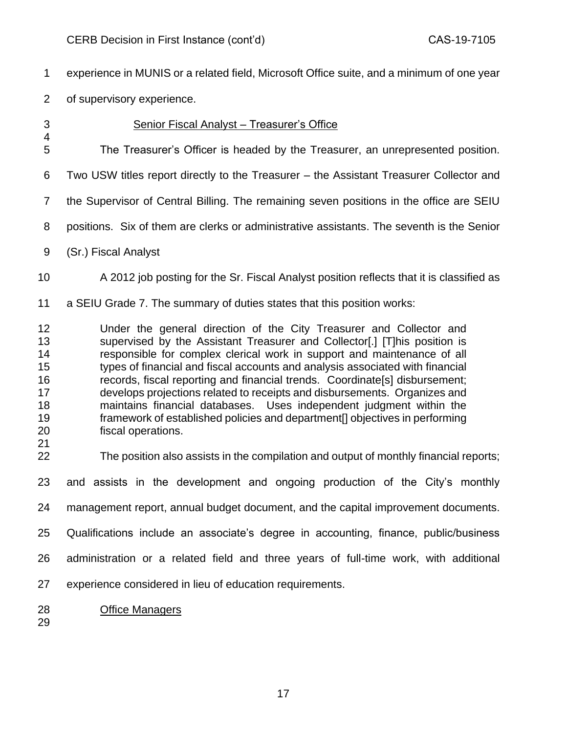experience in MUNIS or a related field, Microsoft Office suite, and a minimum of one year

of supervisory experience.

# Senior Fiscal Analyst – Treasurer's Office

The Treasurer's Officer is headed by the Treasurer, an unrepresented position.

Two USW titles report directly to the Treasurer – the Assistant Treasurer Collector and

the Supervisor of Central Billing. The remaining seven positions in the office are SEIU

positions. Six of them are clerks or administrative assistants. The seventh is the Senior

(Sr.) Fiscal Analyst

- A 2012 job posting for the Sr. Fiscal Analyst position reflects that it is classified as
- a SEIU Grade 7. The summary of duties states that this position works:

 Under the general direction of the City Treasurer and Collector and supervised by the Assistant Treasurer and Collector[.] [T]his position is responsible for complex clerical work in support and maintenance of all types of financial and fiscal accounts and analysis associated with financial records, fiscal reporting and financial trends. Coordinate[s] disbursement; develops projections related to receipts and disbursements. Organizes and maintains financial databases. Uses independent judgment within the framework of established policies and department[] objectives in performing fiscal operations.

The position also assists in the compilation and output of monthly financial reports;

and assists in the development and ongoing production of the City's monthly

management report, annual budget document, and the capital improvement documents.

Qualifications include an associate's degree in accounting, finance, public/business

- administration or a related field and three years of full-time work, with additional
- experience considered in lieu of education requirements.
- Office Managers
-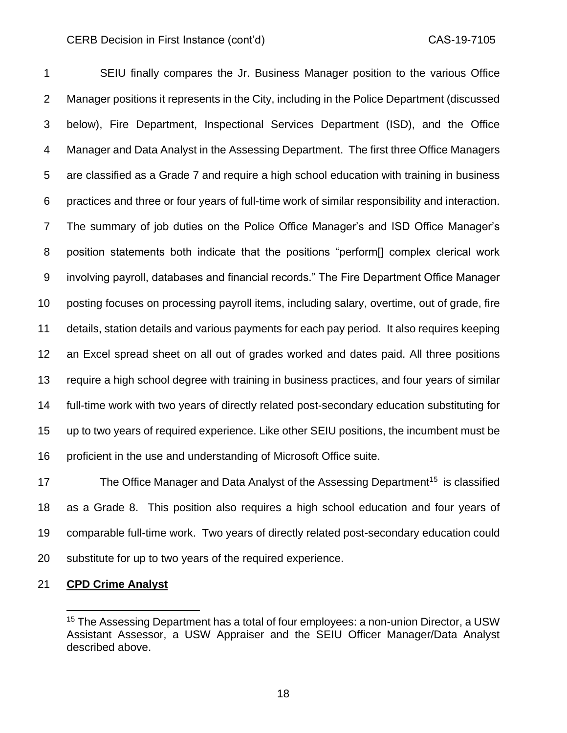SEIU finally compares the Jr. Business Manager position to the various Office Manager positions it represents in the City, including in the Police Department (discussed below), Fire Department, Inspectional Services Department (ISD), and the Office Manager and Data Analyst in the Assessing Department. The first three Office Managers are classified as a Grade 7 and require a high school education with training in business practices and three or four years of full-time work of similar responsibility and interaction. The summary of job duties on the Police Office Manager's and ISD Office Manager's position statements both indicate that the positions "perform[] complex clerical work involving payroll, databases and financial records." The Fire Department Office Manager posting focuses on processing payroll items, including salary, overtime, out of grade, fire details, station details and various payments for each pay period. It also requires keeping an Excel spread sheet on all out of grades worked and dates paid. All three positions require a high school degree with training in business practices, and four years of similar full-time work with two years of directly related post-secondary education substituting for up to two years of required experience. Like other SEIU positions, the incumbent must be proficient in the use and understanding of Microsoft Office suite.

17 The Office Manager and Data Analyst of the Assessing Department<sup>15</sup> is classified as a Grade 8. This position also requires a high school education and four years of comparable full-time work. Two years of directly related post-secondary education could substitute for up to two years of the required experience.

## **CPD Crime Analyst**

<sup>&</sup>lt;sup>15</sup> The Assessing Department has a total of four employees: a non-union Director, a USW Assistant Assessor, a USW Appraiser and the SEIU Officer Manager/Data Analyst described above.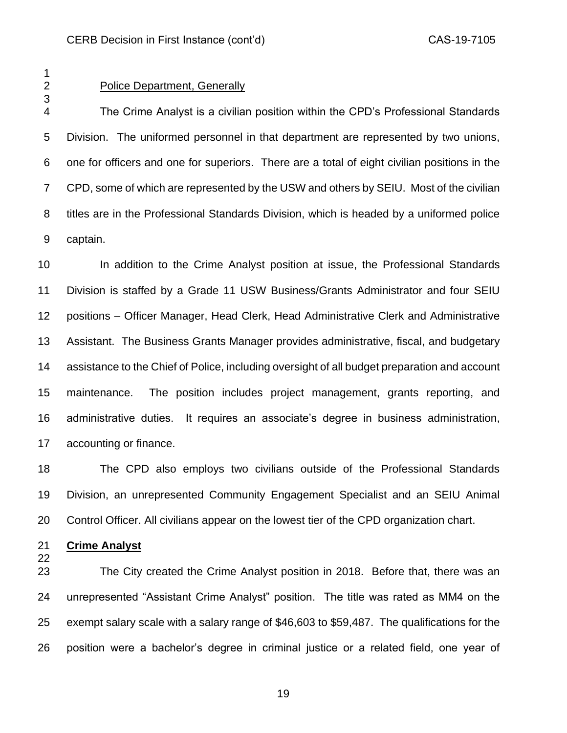## Police Department, Generally

 The Crime Analyst is a civilian position within the CPD's Professional Standards Division. The uniformed personnel in that department are represented by two unions, one for officers and one for superiors. There are a total of eight civilian positions in the CPD, some of which are represented by the USW and others by SEIU. Most of the civilian titles are in the Professional Standards Division, which is headed by a uniformed police captain.

 In addition to the Crime Analyst position at issue, the Professional Standards Division is staffed by a Grade 11 USW Business/Grants Administrator and four SEIU positions – Officer Manager, Head Clerk, Head Administrative Clerk and Administrative Assistant. The Business Grants Manager provides administrative, fiscal, and budgetary assistance to the Chief of Police, including oversight of all budget preparation and account maintenance. The position includes project management, grants reporting, and administrative duties. It requires an associate's degree in business administration, accounting or finance.

 The CPD also employs two civilians outside of the Professional Standards Division, an unrepresented Community Engagement Specialist and an SEIU Animal Control Officer. All civilians appear on the lowest tier of the CPD organization chart.

**Crime Analyst**

 The City created the Crime Analyst position in 2018. Before that, there was an unrepresented "Assistant Crime Analyst" position. The title was rated as MM4 on the exempt salary scale with a salary range of \$46,603 to \$59,487. The qualifications for the position were a bachelor's degree in criminal justice or a related field, one year of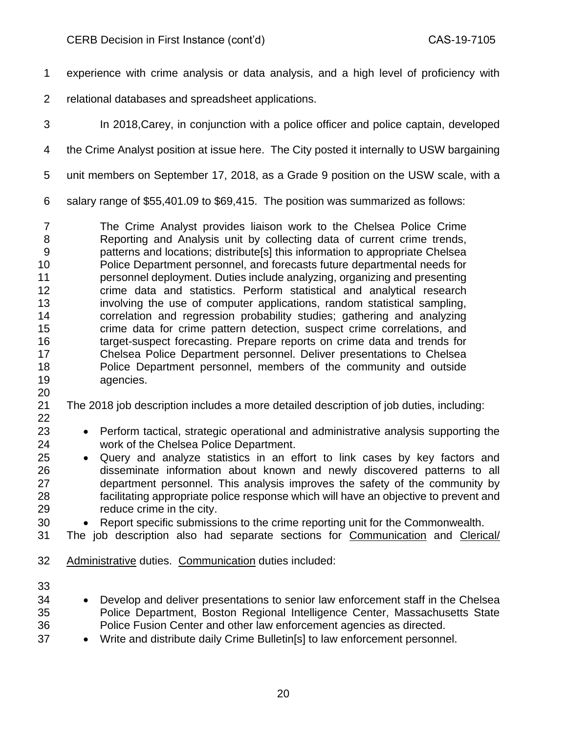experience with crime analysis or data analysis, and a high level of proficiency with

- relational databases and spreadsheet applications.
- 

In 2018,Carey, in conjunction with a police officer and police captain, developed

the Crime Analyst position at issue here. The City posted it internally to USW bargaining

unit members on September 17, 2018, as a Grade 9 position on the USW scale, with a

salary range of \$55,401.09 to \$69,415. The position was summarized as follows:

 The Crime Analyst provides liaison work to the Chelsea Police Crime Reporting and Analysis unit by collecting data of current crime trends, patterns and locations; distribute[s] this information to appropriate Chelsea Police Department personnel, and forecasts future departmental needs for personnel deployment. Duties include analyzing, organizing and presenting crime data and statistics. Perform statistical and analytical research involving the use of computer applications, random statistical sampling, correlation and regression probability studies; gathering and analyzing crime data for crime pattern detection, suspect crime correlations, and target-suspect forecasting. Prepare reports on crime data and trends for Chelsea Police Department personnel. Deliver presentations to Chelsea Police Department personnel, members of the community and outside agencies.

The 2018 job description includes a more detailed description of job duties, including:

 • Perform tactical, strategic operational and administrative analysis supporting the work of the Chelsea Police Department.

 • Query and analyze statistics in an effort to link cases by key factors and disseminate information about known and newly discovered patterns to all department personnel. This analysis improves the safety of the community by facilitating appropriate police response which will have an objective to prevent and reduce crime in the city.

• Report specific submissions to the crime reporting unit for the Commonwealth.

The job description also had separate sections for Communication and Clerical/

Administrative duties. Communication duties included:

- 
- Develop and deliver presentations to senior law enforcement staff in the Chelsea Police Department, Boston Regional Intelligence Center, Massachusetts State Police Fusion Center and other law enforcement agencies as directed.
- Write and distribute daily Crime Bulletin[s] to law enforcement personnel.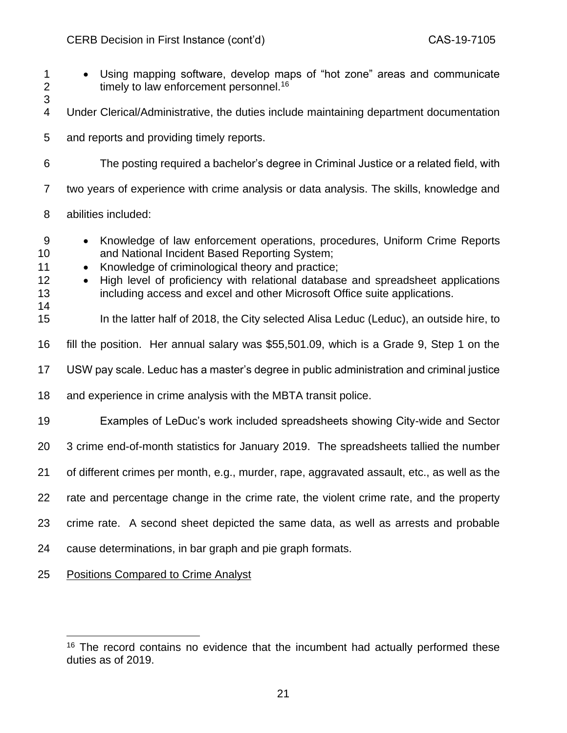• Using mapping software, develop maps of "hot zone" areas and communicate 2 timely to law enforcement personnel.<sup>16</sup> Under Clerical/Administrative, the duties include maintaining department documentation and reports and providing timely reports. The posting required a bachelor's degree in Criminal Justice or a related field, with two years of experience with crime analysis or data analysis. The skills, knowledge and abilities included: • Knowledge of law enforcement operations, procedures, Uniform Crime Reports and National Incident Based Reporting System; 11 • Knowledge of criminological theory and practice; • High level of proficiency with relational database and spreadsheet applications including access and excel and other Microsoft Office suite applications. In the latter half of 2018, the City selected Alisa Leduc (Leduc), an outside hire, to fill the position. Her annual salary was \$55,501.09, which is a Grade 9, Step 1 on the USW pay scale. Leduc has a master's degree in public administration and criminal justice and experience in crime analysis with the MBTA transit police. Examples of LeDuc's work included spreadsheets showing City-wide and Sector 3 crime end-of-month statistics for January 2019. The spreadsheets tallied the number of different crimes per month, e.g., murder, rape, aggravated assault, etc., as well as the rate and percentage change in the crime rate, the violent crime rate, and the property crime rate. A second sheet depicted the same data, as well as arrests and probable cause determinations, in bar graph and pie graph formats. Positions Compared to Crime Analyst

 The record contains no evidence that the incumbent had actually performed these duties as of 2019.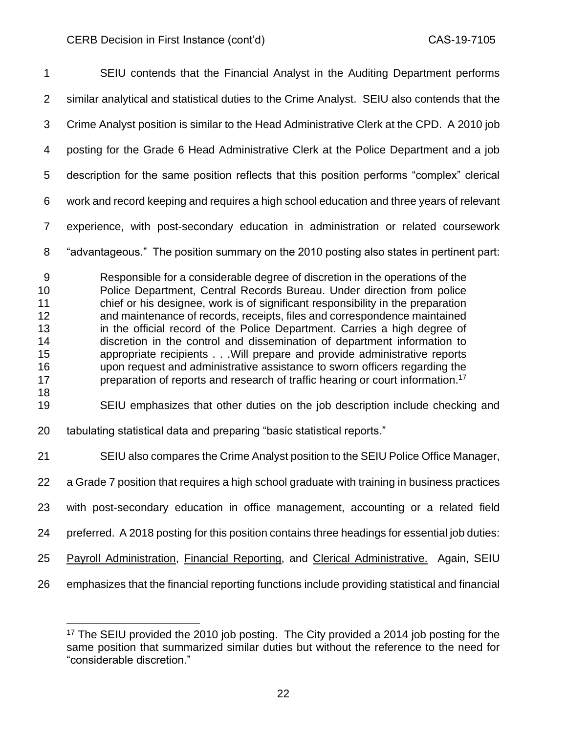| 1                                                             | SEIU contends that the Financial Analyst in the Auditing Department performs                                                                                                                                                                                                                                                                                                                                                                                                                                                                                                                                                                                                                                                                                                                                           |
|---------------------------------------------------------------|------------------------------------------------------------------------------------------------------------------------------------------------------------------------------------------------------------------------------------------------------------------------------------------------------------------------------------------------------------------------------------------------------------------------------------------------------------------------------------------------------------------------------------------------------------------------------------------------------------------------------------------------------------------------------------------------------------------------------------------------------------------------------------------------------------------------|
| $\overline{2}$                                                | similar analytical and statistical duties to the Crime Analyst. SEIU also contends that the                                                                                                                                                                                                                                                                                                                                                                                                                                                                                                                                                                                                                                                                                                                            |
| 3                                                             | Crime Analyst position is similar to the Head Administrative Clerk at the CPD. A 2010 job                                                                                                                                                                                                                                                                                                                                                                                                                                                                                                                                                                                                                                                                                                                              |
| 4                                                             | posting for the Grade 6 Head Administrative Clerk at the Police Department and a job                                                                                                                                                                                                                                                                                                                                                                                                                                                                                                                                                                                                                                                                                                                                   |
| 5                                                             | description for the same position reflects that this position performs "complex" clerical                                                                                                                                                                                                                                                                                                                                                                                                                                                                                                                                                                                                                                                                                                                              |
| 6                                                             | work and record keeping and requires a high school education and three years of relevant                                                                                                                                                                                                                                                                                                                                                                                                                                                                                                                                                                                                                                                                                                                               |
| $\overline{7}$                                                | experience, with post-secondary education in administration or related coursework                                                                                                                                                                                                                                                                                                                                                                                                                                                                                                                                                                                                                                                                                                                                      |
| 8                                                             | "advantageous." The position summary on the 2010 posting also states in pertinent part:                                                                                                                                                                                                                                                                                                                                                                                                                                                                                                                                                                                                                                                                                                                                |
| 9<br>10<br>11<br>12<br>13<br>14<br>15<br>16<br>17<br>18<br>19 | Responsible for a considerable degree of discretion in the operations of the<br>Police Department, Central Records Bureau. Under direction from police<br>chief or his designee, work is of significant responsibility in the preparation<br>and maintenance of records, receipts, files and correspondence maintained<br>in the official record of the Police Department. Carries a high degree of<br>discretion in the control and dissemination of department information to<br>appropriate recipients Will prepare and provide administrative reports<br>upon request and administrative assistance to sworn officers regarding the<br>preparation of reports and research of traffic hearing or court information. <sup>17</sup><br>SEIU emphasizes that other duties on the job description include checking and |
| 20                                                            | tabulating statistical data and preparing "basic statistical reports."                                                                                                                                                                                                                                                                                                                                                                                                                                                                                                                                                                                                                                                                                                                                                 |
| 21                                                            | SEIU also compares the Crime Analyst position to the SEIU Police Office Manager,                                                                                                                                                                                                                                                                                                                                                                                                                                                                                                                                                                                                                                                                                                                                       |
| 22                                                            | a Grade 7 position that requires a high school graduate with training in business practices                                                                                                                                                                                                                                                                                                                                                                                                                                                                                                                                                                                                                                                                                                                            |
| 23                                                            | with post-secondary education in office management, accounting or a related field                                                                                                                                                                                                                                                                                                                                                                                                                                                                                                                                                                                                                                                                                                                                      |
| 24                                                            | preferred. A 2018 posting for this position contains three headings for essential job duties:                                                                                                                                                                                                                                                                                                                                                                                                                                                                                                                                                                                                                                                                                                                          |
| 25                                                            | Payroll Administration, Financial Reporting, and Clerical Administrative. Again, SEIU                                                                                                                                                                                                                                                                                                                                                                                                                                                                                                                                                                                                                                                                                                                                  |
| 26                                                            | emphasizes that the financial reporting functions include providing statistical and financial                                                                                                                                                                                                                                                                                                                                                                                                                                                                                                                                                                                                                                                                                                                          |

 The SEIU provided the 2010 job posting. The City provided a 2014 job posting for the same position that summarized similar duties but without the reference to the need for "considerable discretion."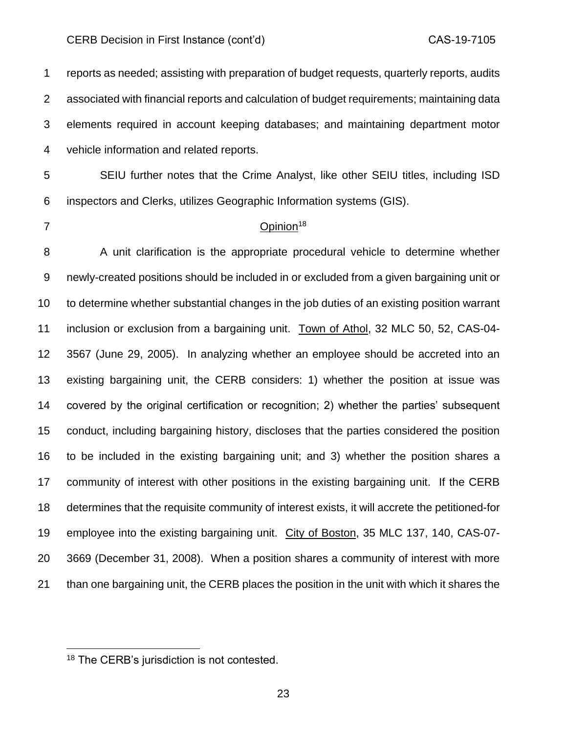reports as needed; assisting with preparation of budget requests, quarterly reports, audits associated with financial reports and calculation of budget requirements; maintaining data elements required in account keeping databases; and maintaining department motor vehicle information and related reports.

 SEIU further notes that the Crime Analyst, like other SEIU titles, including ISD inspectors and Clerks, utilizes Geographic Information systems (GIS).

## Opinion<sup>18</sup>

8 A unit clarification is the appropriate procedural vehicle to determine whether newly-created positions should be included in or excluded from a given bargaining unit or to determine whether substantial changes in the job duties of an existing position warrant inclusion or exclusion from a bargaining unit. Town of Athol, 32 MLC 50, 52, CAS-04- 3567 (June 29, 2005). In analyzing whether an employee should be accreted into an existing bargaining unit, the CERB considers: 1) whether the position at issue was covered by the original certification or recognition; 2) whether the parties' subsequent conduct, including bargaining history, discloses that the parties considered the position to be included in the existing bargaining unit; and 3) whether the position shares a community of interest with other positions in the existing bargaining unit. If the CERB determines that the requisite community of interest exists, it will accrete the petitioned-for employee into the existing bargaining unit. City of Boston, 35 MLC 137, 140, CAS-07- 3669 (December 31, 2008). When a position shares a community of interest with more than one bargaining unit, the CERB places the position in the unit with which it shares the

<sup>18</sup> The CERB's jurisdiction is not contested.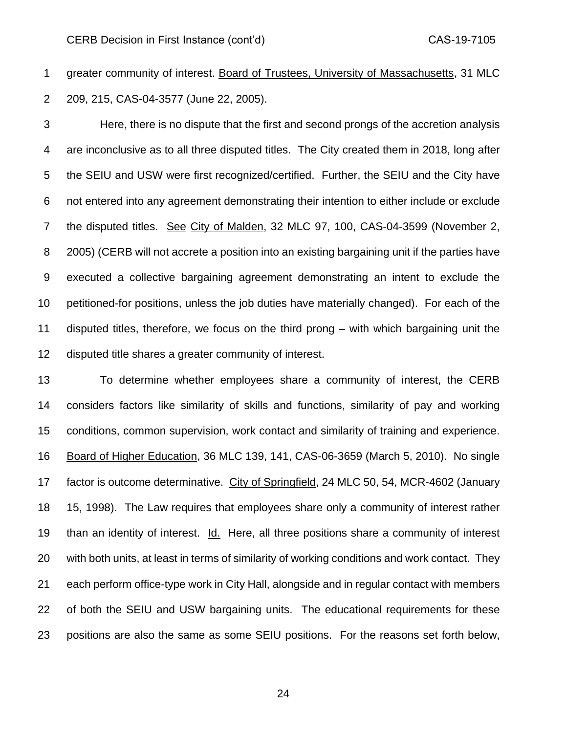greater community of interest. Board of Trustees, University of Massachusetts, 31 MLC 209, 215, CAS-04-3577 (June 22, 2005).

 Here, there is no dispute that the first and second prongs of the accretion analysis are inconclusive as to all three disputed titles. The City created them in 2018, long after the SEIU and USW were first recognized/certified. Further, the SEIU and the City have not entered into any agreement demonstrating their intention to either include or exclude the disputed titles. See City of Malden, 32 MLC 97, 100, CAS-04-3599 (November 2, 2005) (CERB will not accrete a position into an existing bargaining unit if the parties have executed a collective bargaining agreement demonstrating an intent to exclude the petitioned-for positions, unless the job duties have materially changed). For each of the disputed titles, therefore, we focus on the third prong – with which bargaining unit the disputed title shares a greater community of interest.

 To determine whether employees share a community of interest, the CERB considers factors like similarity of skills and functions, similarity of pay and working conditions, common supervision, work contact and similarity of training and experience. Board of Higher Education, 36 MLC 139, 141, CAS-06-3659 (March 5, 2010). No single factor is outcome determinative. City of Springfield, 24 MLC 50, 54, MCR-4602 (January 15, 1998). The Law requires that employees share only a community of interest rather than an identity of interest. Id. Here, all three positions share a community of interest with both units, at least in terms of similarity of working conditions and work contact. They each perform office-type work in City Hall, alongside and in regular contact with members of both the SEIU and USW bargaining units. The educational requirements for these positions are also the same as some SEIU positions. For the reasons set forth below,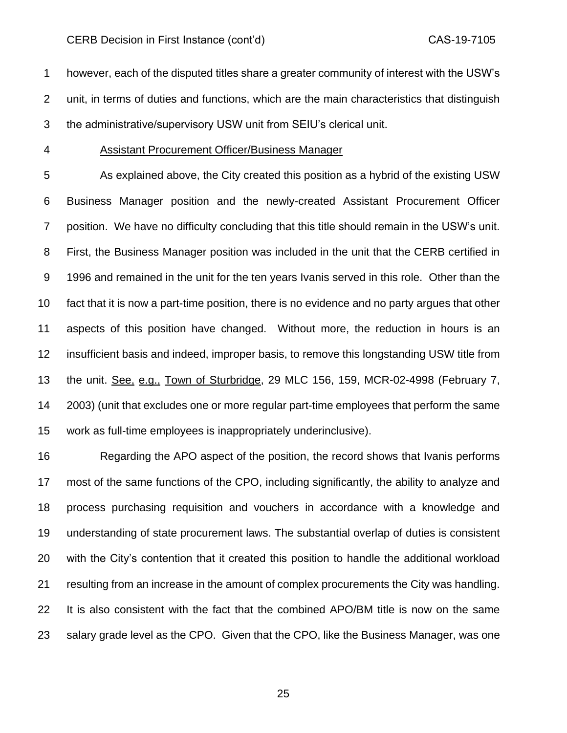however, each of the disputed titles share a greater community of interest with the USW's unit, in terms of duties and functions, which are the main characteristics that distinguish the administrative/supervisory USW unit from SEIU's clerical unit.

### Assistant Procurement Officer/Business Manager

 As explained above, the City created this position as a hybrid of the existing USW Business Manager position and the newly-created Assistant Procurement Officer position. We have no difficulty concluding that this title should remain in the USW's unit. First, the Business Manager position was included in the unit that the CERB certified in 1996 and remained in the unit for the ten years Ivanis served in this role. Other than the fact that it is now a part-time position, there is no evidence and no party argues that other aspects of this position have changed. Without more, the reduction in hours is an insufficient basis and indeed, improper basis, to remove this longstanding USW title from the unit. See, e.g., Town of Sturbridge, 29 MLC 156, 159, MCR-02-4998 (February 7, 2003) (unit that excludes one or more regular part-time employees that perform the same work as full-time employees is inappropriately underinclusive).

 Regarding the APO aspect of the position, the record shows that Ivanis performs most of the same functions of the CPO, including significantly, the ability to analyze and process purchasing requisition and vouchers in accordance with a knowledge and understanding of state procurement laws. The substantial overlap of duties is consistent with the City's contention that it created this position to handle the additional workload resulting from an increase in the amount of complex procurements the City was handling. It is also consistent with the fact that the combined APO/BM title is now on the same salary grade level as the CPO. Given that the CPO, like the Business Manager, was one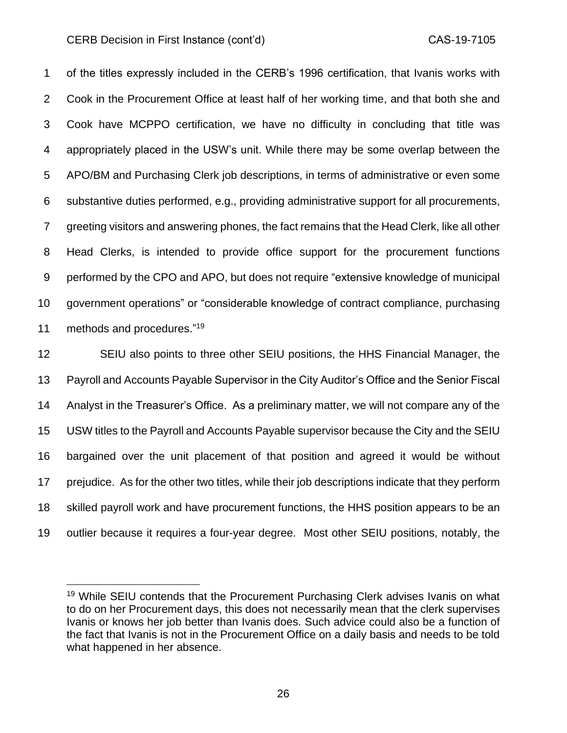of the titles expressly included in the CERB's 1996 certification, that Ivanis works with Cook in the Procurement Office at least half of her working time, and that both she and Cook have MCPPO certification, we have no difficulty in concluding that title was appropriately placed in the USW's unit. While there may be some overlap between the APO/BM and Purchasing Clerk job descriptions, in terms of administrative or even some substantive duties performed, e.g., providing administrative support for all procurements, greeting visitors and answering phones, the fact remains that the Head Clerk, like all other Head Clerks, is intended to provide office support for the procurement functions performed by the CPO and APO, but does not require "extensive knowledge of municipal government operations" or "considerable knowledge of contract compliance, purchasing 11 methods and procedures."<sup>19</sup>

 SEIU also points to three other SEIU positions, the HHS Financial Manager, the Payroll and Accounts Payable Supervisor in the City Auditor's Office and the Senior Fiscal Analyst in the Treasurer's Office. As a preliminary matter, we will not compare any of the USW titles to the Payroll and Accounts Payable supervisor because the City and the SEIU bargained over the unit placement of that position and agreed it would be without prejudice. As for the other two titles, while their job descriptions indicate that they perform skilled payroll work and have procurement functions, the HHS position appears to be an outlier because it requires a four-year degree. Most other SEIU positions, notably, the

<sup>&</sup>lt;sup>19</sup> While SEIU contends that the Procurement Purchasing Clerk advises Ivanis on what to do on her Procurement days, this does not necessarily mean that the clerk supervises Ivanis or knows her job better than Ivanis does. Such advice could also be a function of the fact that Ivanis is not in the Procurement Office on a daily basis and needs to be told what happened in her absence.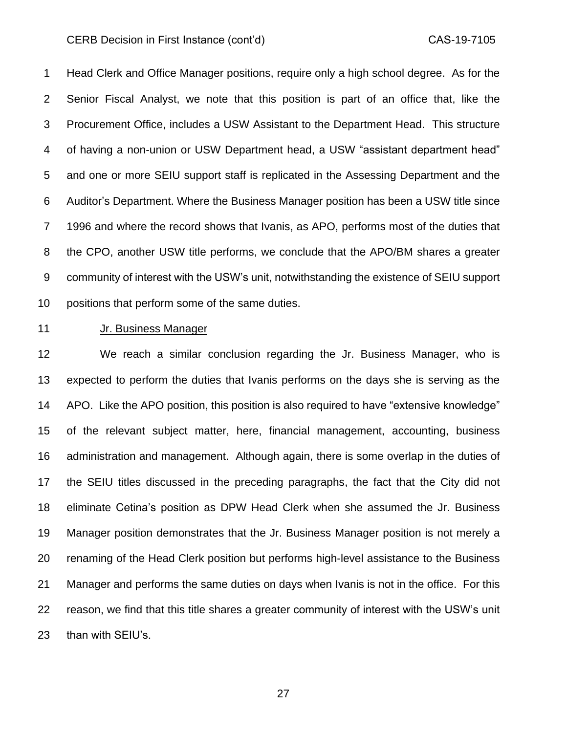Head Clerk and Office Manager positions, require only a high school degree. As for the Senior Fiscal Analyst, we note that this position is part of an office that, like the Procurement Office, includes a USW Assistant to the Department Head. This structure of having a non-union or USW Department head, a USW "assistant department head" and one or more SEIU support staff is replicated in the Assessing Department and the Auditor's Department. Where the Business Manager position has been a USW title since 1996 and where the record shows that Ivanis, as APO, performs most of the duties that the CPO, another USW title performs, we conclude that the APO/BM shares a greater community of interest with the USW's unit, notwithstanding the existence of SEIU support positions that perform some of the same duties.

## Jr. Business Manager

 We reach a similar conclusion regarding the Jr. Business Manager, who is expected to perform the duties that Ivanis performs on the days she is serving as the APO. Like the APO position, this position is also required to have "extensive knowledge" of the relevant subject matter, here, financial management, accounting, business administration and management. Although again, there is some overlap in the duties of the SEIU titles discussed in the preceding paragraphs, the fact that the City did not eliminate Cetina's position as DPW Head Clerk when she assumed the Jr. Business Manager position demonstrates that the Jr. Business Manager position is not merely a renaming of the Head Clerk position but performs high-level assistance to the Business Manager and performs the same duties on days when Ivanis is not in the office. For this reason, we find that this title shares a greater community of interest with the USW's unit than with SEIU's.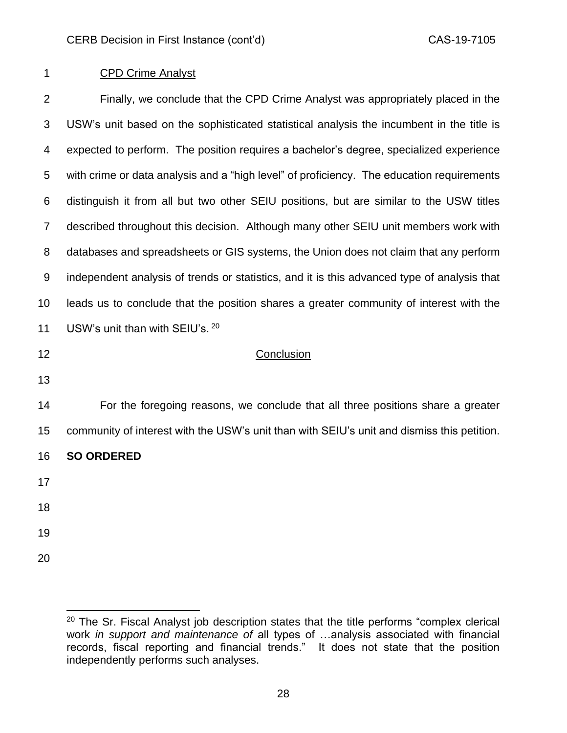# CPD Crime Analyst

 Finally, we conclude that the CPD Crime Analyst was appropriately placed in the USW's unit based on the sophisticated statistical analysis the incumbent in the title is expected to perform. The position requires a bachelor's degree, specialized experience with crime or data analysis and a "high level" of proficiency. The education requirements distinguish it from all but two other SEIU positions, but are similar to the USW titles described throughout this decision. Although many other SEIU unit members work with databases and spreadsheets or GIS systems, the Union does not claim that any perform independent analysis of trends or statistics, and it is this advanced type of analysis that leads us to conclude that the position shares a greater community of interest with the 11 USW's unit than with SEIU's. 20 12 Conclusion For the foregoing reasons, we conclude that all three positions share a greater community of interest with the USW's unit than with SEIU's unit and dismiss this petition. **SO ORDERED**

- 
- 
- 
- 

 The Sr. Fiscal Analyst job description states that the title performs "complex clerical work *in support and maintenance of* all types of …analysis associated with financial records, fiscal reporting and financial trends." It does not state that the position independently performs such analyses.